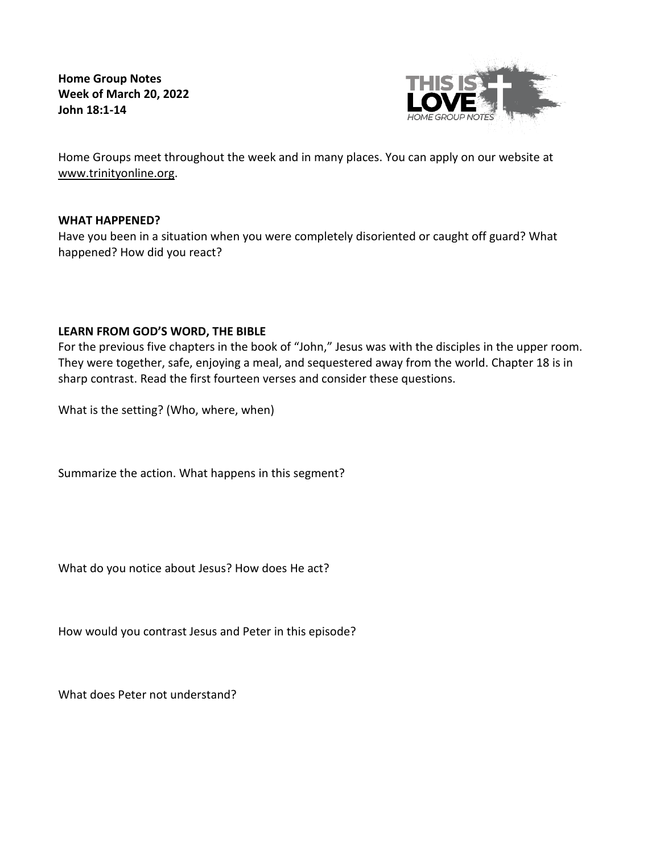**Home Group Notes Week of March 20, 2022 John 18:1-14**



Home Groups meet throughout the week and in many places. You can apply on our website at [www.trinityonline.org.](http://www.trinityonline.org/)

## **WHAT HAPPENED?**

Have you been in a situation when you were completely disoriented or caught off guard? What happened? How did you react?

# **LEARN FROM GOD'S WORD, THE BIBLE**

For the previous five chapters in the book of "John," Jesus was with the disciples in the upper room. They were together, safe, enjoying a meal, and sequestered away from the world. Chapter 18 is in sharp contrast. Read the first fourteen verses and consider these questions.

What is the setting? (Who, where, when)

Summarize the action. What happens in this segment?

What do you notice about Jesus? How does He act?

How would you contrast Jesus and Peter in this episode?

What does Peter not understand?